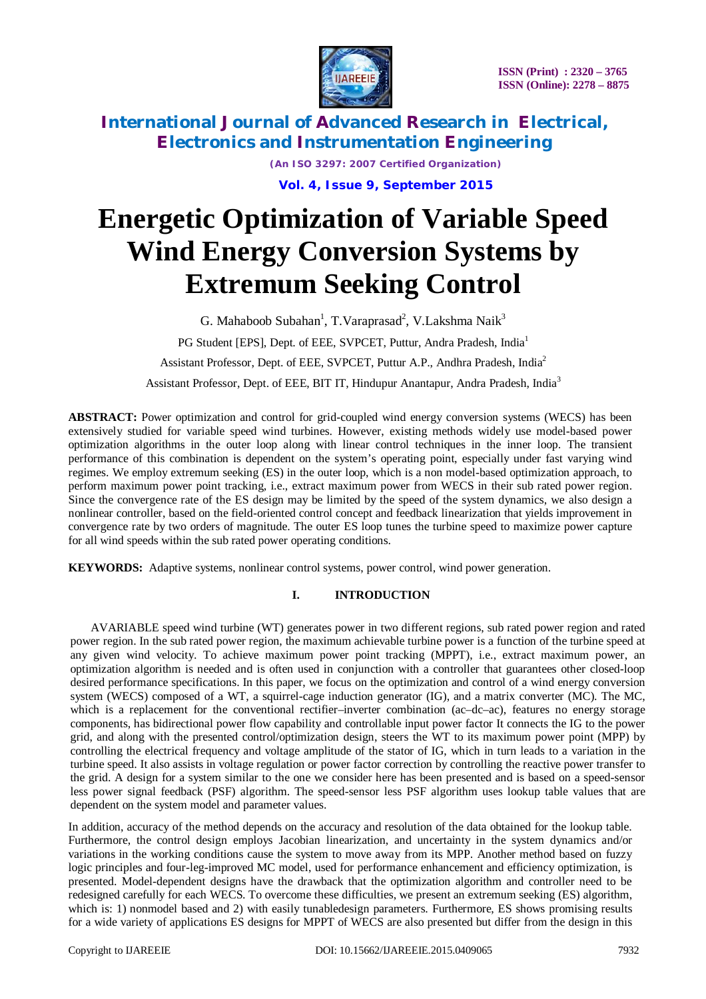

> *(An ISO 3297: 2007 Certified Organization)* **Vol. 4, Issue 9, September 2015**

# **Energetic Optimization of Variable Speed Wind Energy Conversion Systems by Extremum Seeking Control**

G. Mahaboob Subahan<sup>1</sup>, T.Varaprasad<sup>2</sup>, V.Lakshma Naik<sup>3</sup>

PG Student [EPS], Dept. of EEE, SVPCET, Puttur, Andra Pradesh, India<sup>1</sup>

Assistant Professor, Dept. of EEE, SVPCET, Puttur A.P., Andhra Pradesh, India<sup>2</sup>

Assistant Professor, Dept. of EEE, BIT IT, Hindupur Anantapur, Andra Pradesh, India<sup>3</sup>

**ABSTRACT:** Power optimization and control for grid-coupled wind energy conversion systems (WECS) has been extensively studied for variable speed wind turbines. However, existing methods widely use model-based power optimization algorithms in the outer loop along with linear control techniques in the inner loop. The transient performance of this combination is dependent on the system's operating point, especially under fast varying wind regimes. We employ extremum seeking (ES) in the outer loop, which is a non model-based optimization approach, to perform maximum power point tracking, i.e., extract maximum power from WECS in their sub rated power region. Since the convergence rate of the ES design may be limited by the speed of the system dynamics, we also design a nonlinear controller, based on the field-oriented control concept and feedback linearization that yields improvement in convergence rate by two orders of magnitude. The outer ES loop tunes the turbine speed to maximize power capture for all wind speeds within the sub rated power operating conditions.

**KEYWORDS:** Adaptive systems, nonlinear control systems, power control, wind power generation.

### **I. INTRODUCTION**

AVARIABLE speed wind turbine (WT) generates power in two different regions, sub rated power region and rated power region. In the sub rated power region, the maximum achievable turbine power is a function of the turbine speed at any given wind velocity. To achieve maximum power point tracking (MPPT), i.e., extract maximum power, an optimization algorithm is needed and is often used in conjunction with a controller that guarantees other closed-loop desired performance specifications. In this paper, we focus on the optimization and control of a wind energy conversion system (WECS) composed of a WT, a squirrel-cage induction generator (IG), and a matrix converter (MC). The MC, which is a replacement for the conventional rectifier–inverter combination (ac–dc–ac), features no energy storage components, has bidirectional power flow capability and controllable input power factor It connects the IG to the power grid, and along with the presented control/optimization design, steers the WT to its maximum power point (MPP) by controlling the electrical frequency and voltage amplitude of the stator of IG, which in turn leads to a variation in the turbine speed. It also assists in voltage regulation or power factor correction by controlling the reactive power transfer to the grid. A design for a system similar to the one we consider here has been presented and is based on a speed-sensor less power signal feedback (PSF) algorithm. The speed-sensor less PSF algorithm uses lookup table values that are dependent on the system model and parameter values.

In addition, accuracy of the method depends on the accuracy and resolution of the data obtained for the lookup table. Furthermore, the control design employs Jacobian linearization, and uncertainty in the system dynamics and/or variations in the working conditions cause the system to move away from its MPP. Another method based on fuzzy logic principles and four-leg-improved MC model, used for performance enhancement and efficiency optimization, is presented. Model-dependent designs have the drawback that the optimization algorithm and controller need to be redesigned carefully for each WECS. To overcome these difficulties, we present an extremum seeking (ES) algorithm, which is: 1) nonmodel based and 2) with easily tunabledesign parameters. Furthermore, ES shows promising results for a wide variety of applications ES designs for MPPT of WECS are also presented but differ from the design in this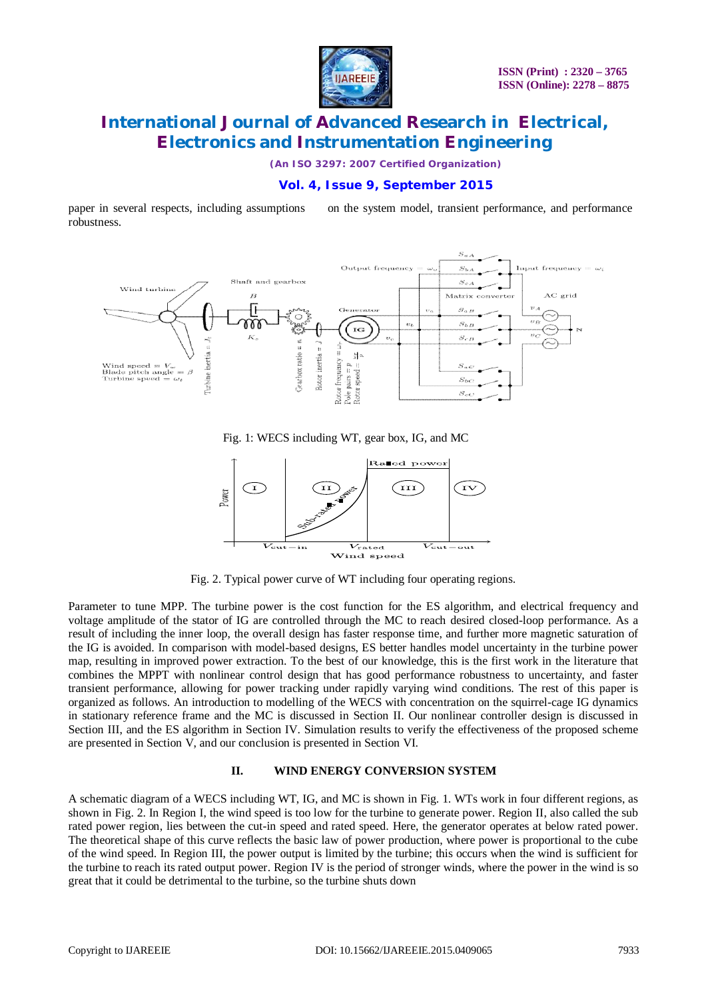

*(An ISO 3297: 2007 Certified Organization)*

### **Vol. 4, Issue 9, September 2015**

paper in several respects, including assumptions on the system model, transient performance, and performance robustness.



Fig. 1: WECS including WT, gear box, IG, and MC



Fig. 2. Typical power curve of WT including four operating regions.

Parameter to tune MPP. The turbine power is the cost function for the ES algorithm, and electrical frequency and voltage amplitude of the stator of IG are controlled through the MC to reach desired closed-loop performance. As a result of including the inner loop, the overall design has faster response time, and further more magnetic saturation of the IG is avoided. In comparison with model-based designs, ES better handles model uncertainty in the turbine power map, resulting in improved power extraction. To the best of our knowledge, this is the first work in the literature that combines the MPPT with nonlinear control design that has good performance robustness to uncertainty, and faster transient performance, allowing for power tracking under rapidly varying wind conditions. The rest of this paper is organized as follows. An introduction to modelling of the WECS with concentration on the squirrel-cage IG dynamics in stationary reference frame and the MC is discussed in Section II. Our nonlinear controller design is discussed in Section III, and the ES algorithm in Section IV. Simulation results to verify the effectiveness of the proposed scheme are presented in Section V, and our conclusion is presented in Section VI.

#### **II. WIND ENERGY CONVERSION SYSTEM**

A schematic diagram of a WECS including WT, IG, and MC is shown in Fig. 1. WTs work in four different regions, as shown in Fig. 2. In Region I, the wind speed is too low for the turbine to generate power. Region II, also called the sub rated power region, lies between the cut-in speed and rated speed. Here, the generator operates at below rated power. The theoretical shape of this curve reflects the basic law of power production, where power is proportional to the cube of the wind speed. In Region III, the power output is limited by the turbine; this occurs when the wind is sufficient for the turbine to reach its rated output power. Region IV is the period of stronger winds, where the power in the wind is so great that it could be detrimental to the turbine, so the turbine shuts down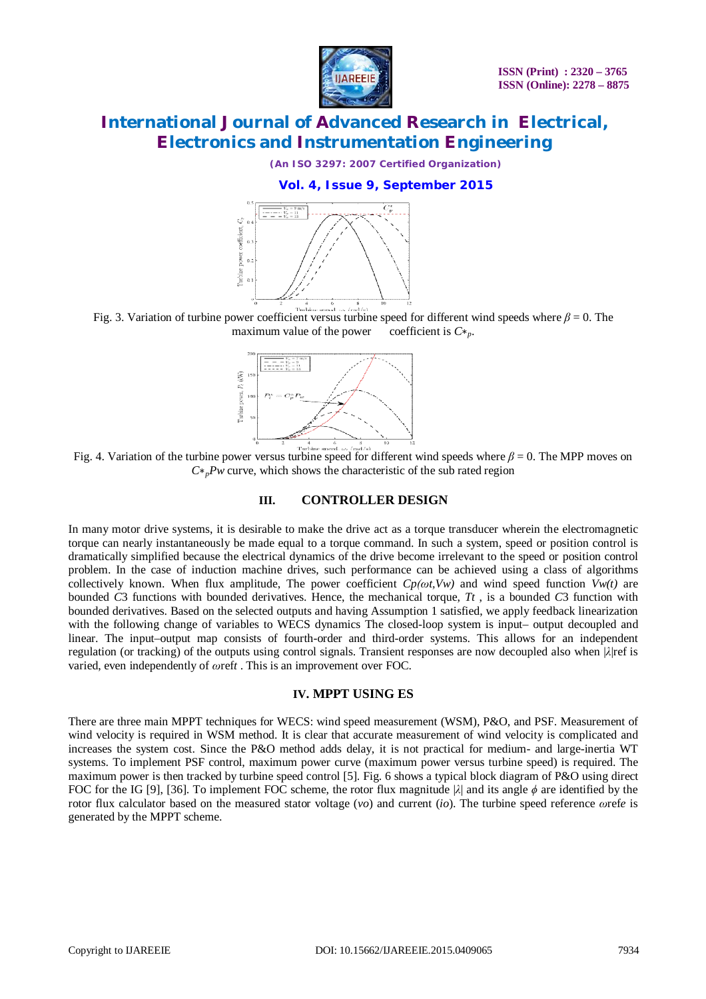

*(An ISO 3297: 2007 Certified Organization)*

### **Vol. 4, Issue 9, September 2015**



Fig. 3. Variation of turbine power coefficient versus turbine speed for different wind speeds where *β* = 0. The maximum value of the power coefficient is  $C^*$ <sub>*p*</sub>.



Fig. 4. Variation of the turbine power versus turbine speed for different wind speeds where *β* = 0. The MPP moves on  $C<sup>*</sup><sub>p</sub>Pw$  curve, which shows the characteristic of the sub rated region

### **III. CONTROLLER DESIGN**

In many motor drive systems, it is desirable to make the drive act as a torque transducer wherein the electromagnetic torque can nearly instantaneously be made equal to a torque command. In such a system, speed or position control is dramatically simplified because the electrical dynamics of the drive become irrelevant to the speed or position control problem. In the case of induction machine drives, such performance can be achieved using a class of algorithms collectively known. When flux amplitude, The power coefficient  $Cp(\omega t, Vw)$  and wind speed function  $Vw(t)$  are bounded *C*3 functions with bounded derivatives. Hence, the mechanical torque, *Tt* , is a bounded *C*3 function with bounded derivatives. Based on the selected outputs and having Assumption 1 satisfied, we apply feedback linearization with the following change of variables to WECS dynamics The closed-loop system is input– output decoupled and linear. The input–output map consists of fourth-order and third-order systems. This allows for an independent regulation (or tracking) of the outputs using control signals. Transient responses are now decoupled also when |*λ*|ref is varied, even independently of *ω*ref*t* . This is an improvement over FOC.

### **IV. MPPT USING ES**

There are three main MPPT techniques for WECS: wind speed measurement (WSM), P&O, and PSF. Measurement of wind velocity is required in WSM method. It is clear that accurate measurement of wind velocity is complicated and increases the system cost. Since the P&O method adds delay, it is not practical for medium- and large-inertia WT systems. To implement PSF control, maximum power curve (maximum power versus turbine speed) is required. The maximum power is then tracked by turbine speed control [5]. Fig. 6 shows a typical block diagram of P&O using direct FOC for the IG [9], [36]. To implement FOC scheme, the rotor flux magnitude |*λ*| and its angle *ϕ* are identified by the rotor flux calculator based on the measured stator voltage (*vo*) and current (*io*). The turbine speed reference *ω*ref*e* is generated by the MPPT scheme.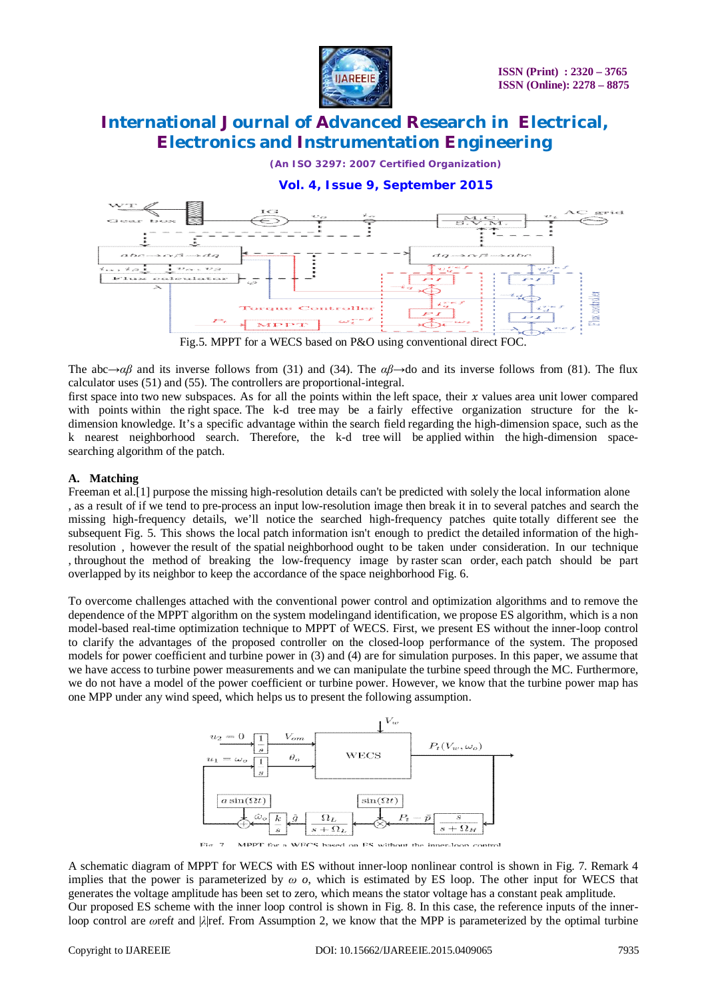

*(An ISO 3297: 2007 Certified Organization)*

### **Vol. 4, Issue 9, September 2015**



Fig.5. MPPT for a WECS based on P&O using conventional direct FOC.

The abc $\rightarrow \alpha \beta$  and its inverse follows from (31) and (34). The  $\alpha \beta \rightarrow$ do and its inverse follows from (81). The flux calculator uses (51) and (55). The controllers are proportional-integral.

first space into two new subspaces. As for all the points within the left space, their  $x$  values area unit lower compared with points within the right space. The k-d tree may be a fairly effective organization structure for the kdimension knowledge. It's a specific advantage within the search field regarding the high-dimension space, such as the k nearest neighborhood search. Therefore, the k-d tree will be applied within the high-dimension spacesearching algorithm of the patch.

### **A. Matching**

Freeman et al.[1] purpose the missing high-resolution details can't be predicted with solely the local information alone , as a result of if we tend to pre-process an input low-resolution image then break it in to several patches and search the missing high-frequency details, we'll notice the searched high-frequency patches quite totally different see the subsequent Fig. 5. This shows the local patch information isn't enough to predict the detailed information of the highresolution , however the result of the spatial neighborhood ought to be taken under consideration. In our technique , throughout the method of breaking the low-frequency image by raster scan order, each patch should be part overlapped by its neighbor to keep the accordance of the space neighborhood Fig. 6.

To overcome challenges attached with the conventional power control and optimization algorithms and to remove the dependence of the MPPT algorithm on the system modelingand identification, we propose ES algorithm, which is a non model-based real-time optimization technique to MPPT of WECS. First, we present ES without the inner-loop control to clarify the advantages of the proposed controller on the closed-loop performance of the system. The proposed models for power coefficient and turbine power in (3) and (4) are for simulation purposes. In this paper, we assume that we have access to turbine power measurements and we can manipulate the turbine speed through the MC. Furthermore, we do not have a model of the power coefficient or turbine power. However, we know that the turbine power map has one MPP under any wind speed, which helps us to present the following assumption.



A schematic diagram of MPPT for WECS with ES without inner-loop nonlinear control is shown in Fig. 7. Remark 4 implies that the power is parameterized by *ω o*, which is estimated by ES loop. The other input for WECS that generates the voltage amplitude has been set to zero, which means the stator voltage has a constant peak amplitude. Our proposed ES scheme with the inner loop control is shown in Fig. 8. In this case, the reference inputs of the innerloop control are *ω*ref*t* and |*λ*|ref. From Assumption 2, we know that the MPP is parameterized by the optimal turbine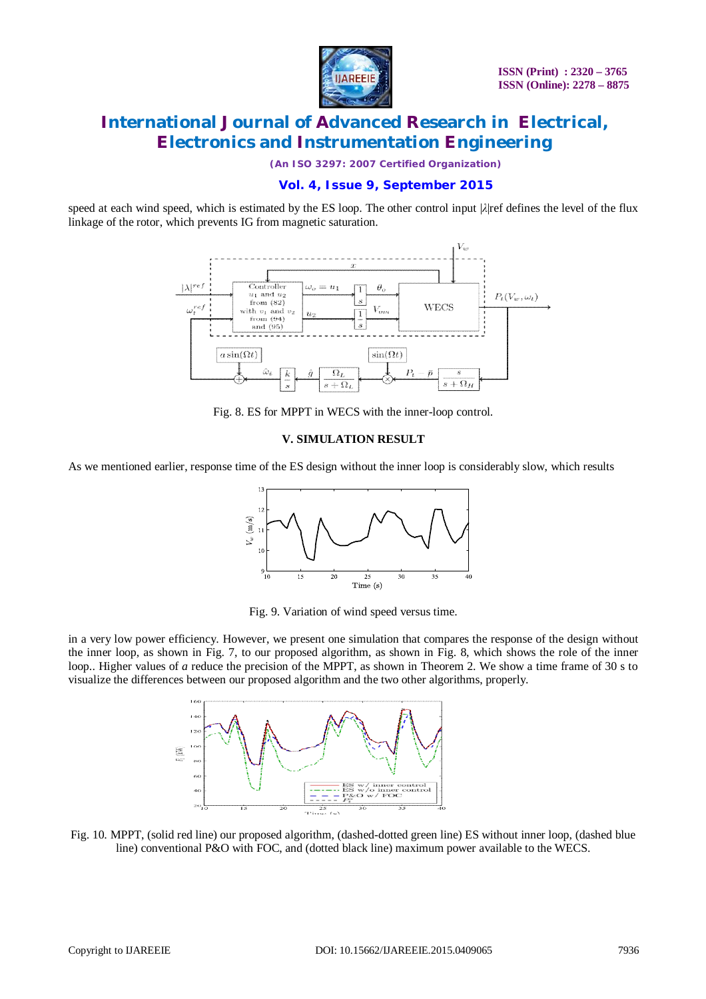

*(An ISO 3297: 2007 Certified Organization)*

### **Vol. 4, Issue 9, September 2015**

speed at each wind speed, which is estimated by the ES loop. The other control input |*λ*|ref defines the level of the flux linkage of the rotor, which prevents IG from magnetic saturation.



Fig. 8. ES for MPPT in WECS with the inner-loop control.

### **V. SIMULATION RESULT**

As we mentioned earlier, response time of the ES design without the inner loop is considerably slow, which results



Fig. 9. Variation of wind speed versus time.

in a very low power efficiency. However, we present one simulation that compares the response of the design without the inner loop, as shown in Fig. 7, to our proposed algorithm, as shown in Fig. 8, which shows the role of the inner loop.. Higher values of *a* reduce the precision of the MPPT, as shown in Theorem 2. We show a time frame of 30 s to visualize the differences between our proposed algorithm and the two other algorithms, properly.



Fig. 10. MPPT, (solid red line) our proposed algorithm, (dashed-dotted green line) ES without inner loop, (dashed blue line) conventional P&O with FOC, and (dotted black line) maximum power available to the WECS.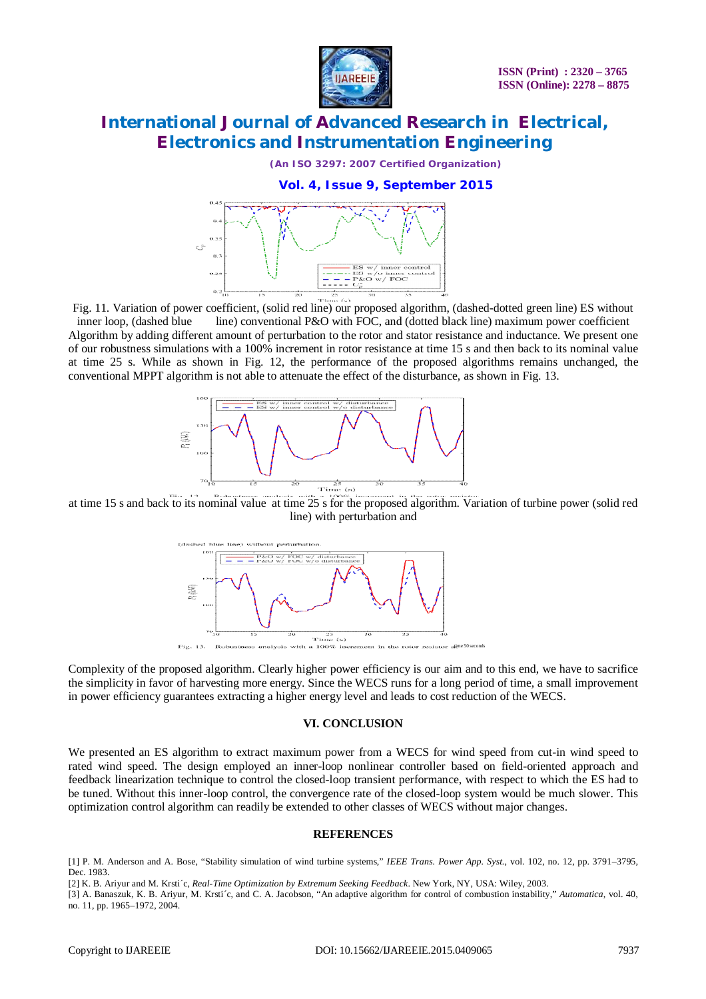

*(An ISO 3297: 2007 Certified Organization)*

### **Vol. 4, Issue 9, September 2015**



Fig. 11. Variation of power coefficient, (solid red line) our proposed algorithm, (dashed-dotted green line) ES without inner loop, (dashed blue line) conventional P&O with FOC, and (dotted black line) maximum power coefficient Algorithm by adding different amount of perturbation to the rotor and stator resistance and inductance. We present one of our robustness simulations with a 100% increment in rotor resistance at time 15 s and then back to its nominal value at time 25 s. While as shown in Fig. 12, the performance of the proposed algorithms remains unchanged, the conventional MPPT algorithm is not able to attenuate the effect of the disturbance, as shown in Fig. 13.



at time 15 s and back to its nominal value at time 25 s for the proposed algorithm. Variation of turbine power (solid red line) with perturbation and



Complexity of the proposed algorithm. Clearly higher power efficiency is our aim and to this end, we have to sacrifice the simplicity in favor of harvesting more energy. Since the WECS runs for a long period of time, a small improvement in power efficiency guarantees extracting a higher energy level and leads to cost reduction of the WECS.

#### **VI. CONCLUSION**

We presented an ES algorithm to extract maximum power from a WECS for wind speed from cut-in wind speed to rated wind speed. The design employed an inner-loop nonlinear controller based on field-oriented approach and feedback linearization technique to control the closed-loop transient performance, with respect to which the ES had to be tuned. Without this inner-loop control, the convergence rate of the closed-loop system would be much slower. This optimization control algorithm can readily be extended to other classes of WECS without major changes.

#### **REFERENCES**

[1] P. M. Anderson and A. Bose, "Stability simulation of wind turbine systems," *IEEE Trans. Power App. Syst.*, vol. 102, no. 12, pp. 3791–3795, Dec. 1983.

[2] K. B. Ariyur and M. Krsti´c, *Real-Time Optimization by Extremum Seeking Feedback*. New York, NY, USA: Wiley, 2003.

[3] A. Banaszuk, K. B. Ariyur, M. Krsti´c, and C. A. Jacobson, "An adaptive algorithm for control of combustion instability," *Automatica*, vol. 40, no. 11, pp. 1965–1972, 2004.